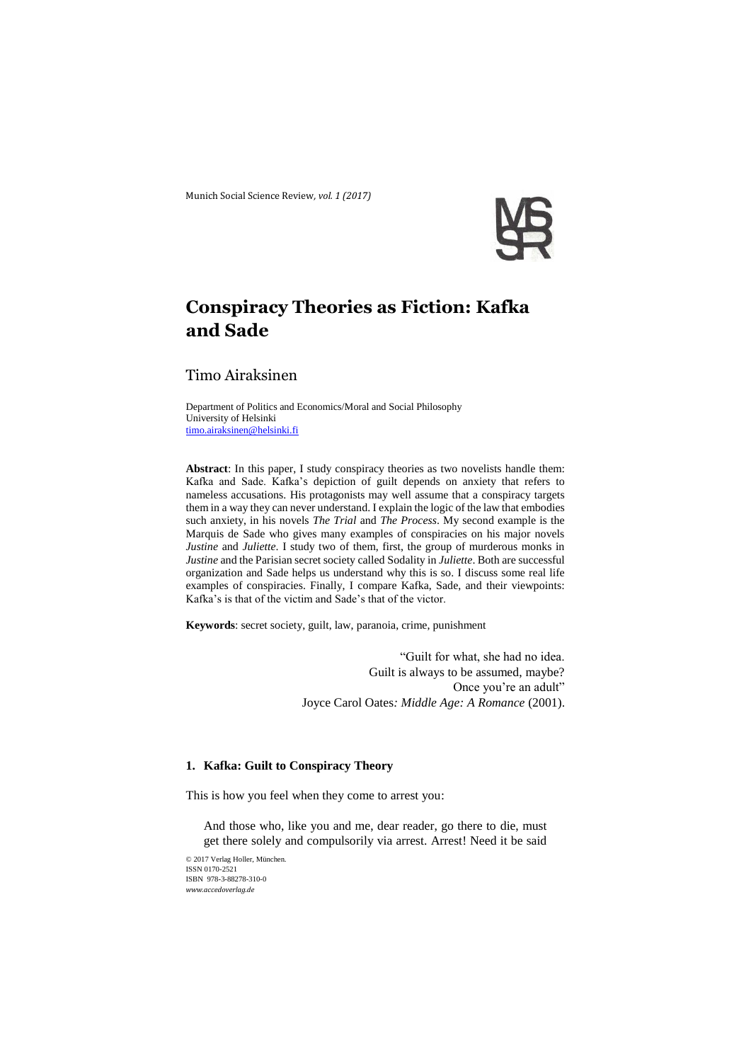Munich Social Science Review*, vol. 1 (2017)* 



# **Conspiracy Theories as Fiction: Kafka and Sade**

# Timo Airaksinen

Department of Politics and Economics/Moral and Social Philosophy University of Helsinki [timo.airaksinen@helsinki.fi](mailto:timo.airaksinen@helsinki.fi)

**Abstract**: In this paper, I study conspiracy theories as two novelists handle them: Kafka and Sade. Kafka's depiction of guilt depends on anxiety that refers to nameless accusations. His protagonists may well assume that a conspiracy targets them in a way they can never understand. I explain the logic of the law that embodies such anxiety, in his novels *The Trial* and *The Process*. My second example is the Marquis de Sade who gives many examples of conspiracies on his major novels *Justine* and *Juliette*. I study two of them, first, the group of murderous monks in *Justine* and the Parisian secret society called Sodality in *Juliette*. Both are successful organization and Sade helps us understand why this is so. I discuss some real life examples of conspiracies. Finally, I compare Kafka, Sade, and their viewpoints: Kafka's is that of the victim and Sade's that of the victor.

**Keywords**: secret society, guilt, law, paranoia, crime, punishment

"Guilt for what, she had no idea. Guilt is always to be assumed, maybe? Once you're an adult" Joyce Carol Oates*: Middle Age: A Romance* (2001).

# **1. Kafka: Guilt to Conspiracy Theory**

This is how you feel when they come to arrest you:

And those who, like you and me, dear reader, go there to die, must get there solely and compulsorily via arrest. Arrest! Need it be said

© 2017 Verlag Holler, München. ISSN 0170-2521 ISBN 978-3-88278-310-0 *www.accedoverlag.de*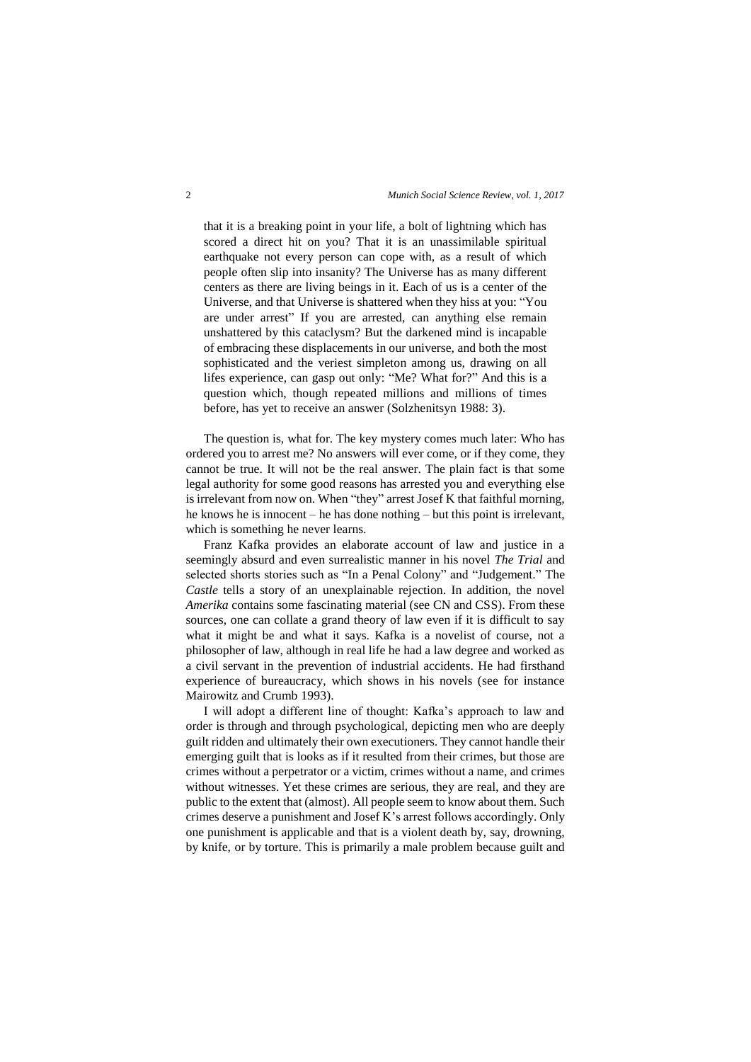that it is a breaking point in your life, a bolt of lightning which has scored a direct hit on you? That it is an unassimilable spiritual earthquake not every person can cope with, as a result of which people often slip into insanity? The Universe has as many different centers as there are living beings in it. Each of us is a center of the Universe, and that Universe is shattered when they hiss at you: "You are under arrest" If you are arrested, can anything else remain unshattered by this cataclysm? But the darkened mind is incapable of embracing these displacements in our universe, and both the most sophisticated and the veriest simpleton among us, drawing on all lifes experience, can gasp out only: "Me? What for?" And this is a question which, though repeated millions and millions of times before, has yet to receive an answer (Solzhenitsyn 1988: 3).

The question is, what for. The key mystery comes much later: Who has ordered you to arrest me? No answers will ever come, or if they come, they cannot be true. It will not be the real answer. The plain fact is that some legal authority for some good reasons has arrested you and everything else is irrelevant from now on. When "they" arrest Josef K that faithful morning, he knows he is innocent – he has done nothing – but this point is irrelevant, which is something he never learns.

Franz Kafka provides an elaborate account of law and justice in a seemingly absurd and even surrealistic manner in his novel *The Trial* and selected shorts stories such as "In a Penal Colony" and "Judgement." The *Castle* tells a story of an unexplainable rejection. In addition, the novel *Amerika* contains some fascinating material (see CN and CSS). From these sources, one can collate a grand theory of law even if it is difficult to say what it might be and what it says. Kafka is a novelist of course, not a philosopher of law, although in real life he had a law degree and worked as a civil servant in the prevention of industrial accidents. He had firsthand experience of bureaucracy, which shows in his novels (see for instance Mairowitz and Crumb 1993).

I will adopt a different line of thought: Kafka's approach to law and order is through and through psychological, depicting men who are deeply guilt ridden and ultimately their own executioners. They cannot handle their emerging guilt that is looks as if it resulted from their crimes, but those are crimes without a perpetrator or a victim, crimes without a name, and crimes without witnesses. Yet these crimes are serious, they are real, and they are public to the extent that (almost). All people seem to know about them. Such crimes deserve a punishment and Josef K's arrest follows accordingly. Only one punishment is applicable and that is a violent death by, say, drowning, by knife, or by torture. This is primarily a male problem because guilt and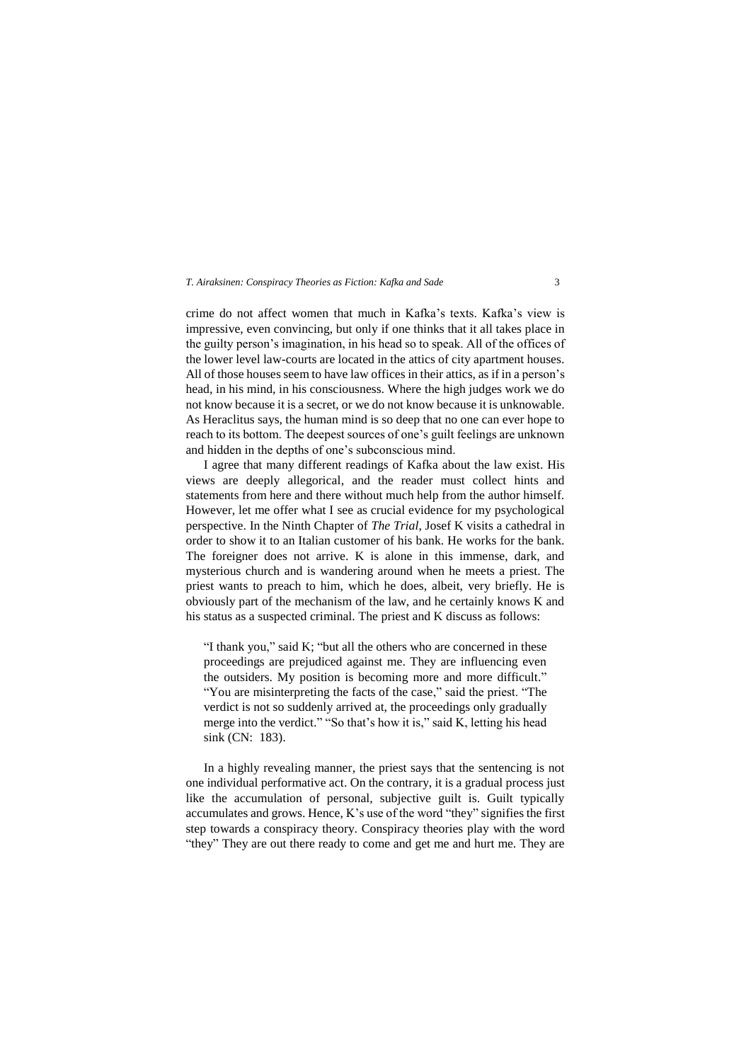crime do not affect women that much in Kafka's texts. Kafka's view is impressive, even convincing, but only if one thinks that it all takes place in the guilty person's imagination, in his head so to speak. All of the offices of the lower level law-courts are located in the attics of city apartment houses. All of those houses seem to have law offices in their attics, as if in a person's head, in his mind, in his consciousness. Where the high judges work we do not know because it is a secret, or we do not know because it is unknowable. As Heraclitus says, the human mind is so deep that no one can ever hope to reach to its bottom. The deepest sources of one's guilt feelings are unknown and hidden in the depths of one's subconscious mind.

I agree that many different readings of Kafka about the law exist. His views are deeply allegorical, and the reader must collect hints and statements from here and there without much help from the author himself. However, let me offer what I see as crucial evidence for my psychological perspective. In the Ninth Chapter of *The Trial*, Josef K visits a cathedral in order to show it to an Italian customer of his bank. He works for the bank. The foreigner does not arrive. K is alone in this immense, dark, and mysterious church and is wandering around when he meets a priest. The priest wants to preach to him, which he does, albeit, very briefly. He is obviously part of the mechanism of the law, and he certainly knows K and his status as a suspected criminal. The priest and K discuss as follows:

"I thank you," said K; "but all the others who are concerned in these proceedings are prejudiced against me. They are influencing even the outsiders. My position is becoming more and more difficult." "You are misinterpreting the facts of the case," said the priest. "The verdict is not so suddenly arrived at, the proceedings only gradually merge into the verdict." "So that's how it is," said K, letting his head sink (CN: 183).

In a highly revealing manner, the priest says that the sentencing is not one individual performative act. On the contrary, it is a gradual process just like the accumulation of personal, subjective guilt is. Guilt typically accumulates and grows. Hence, K's use of the word "they" signifies the first step towards a conspiracy theory. Conspiracy theories play with the word "they" They are out there ready to come and get me and hurt me. They are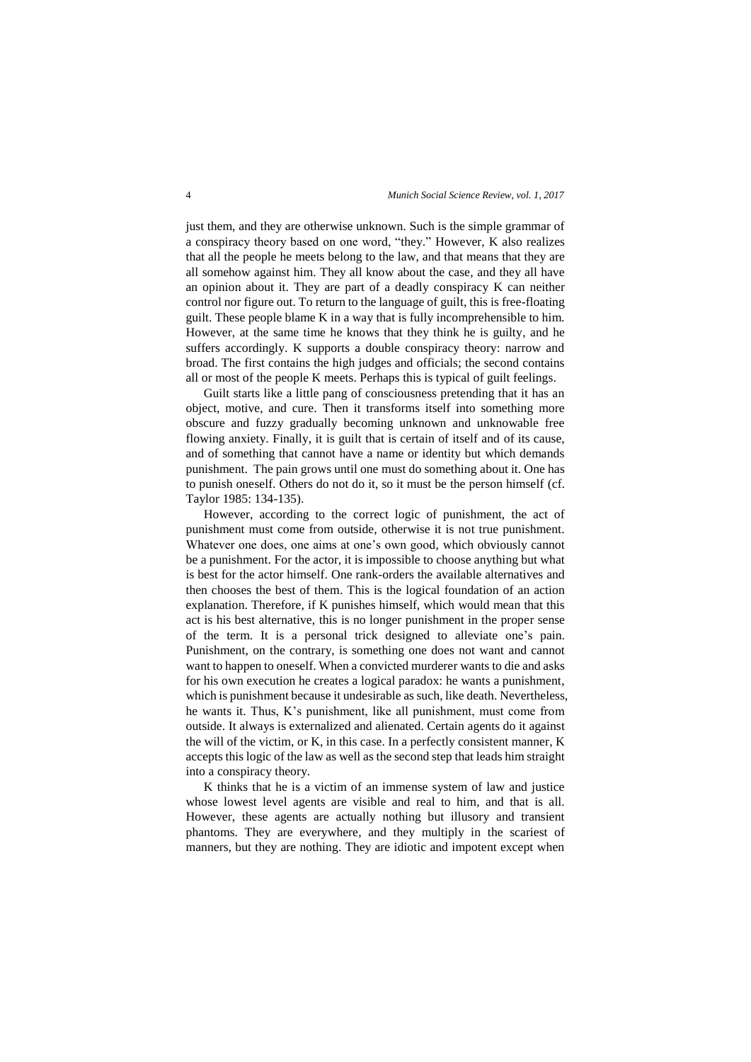just them, and they are otherwise unknown. Such is the simple grammar of a conspiracy theory based on one word, "they." However, K also realizes that all the people he meets belong to the law, and that means that they are all somehow against him. They all know about the case, and they all have an opinion about it. They are part of a deadly conspiracy K can neither control nor figure out. To return to the language of guilt, this is free-floating guilt. These people blame K in a way that is fully incomprehensible to him. However, at the same time he knows that they think he is guilty, and he suffers accordingly. K supports a double conspiracy theory: narrow and broad. The first contains the high judges and officials; the second contains all or most of the people K meets. Perhaps this is typical of guilt feelings.

Guilt starts like a little pang of consciousness pretending that it has an object, motive, and cure. Then it transforms itself into something more obscure and fuzzy gradually becoming unknown and unknowable free flowing anxiety. Finally, it is guilt that is certain of itself and of its cause, and of something that cannot have a name or identity but which demands punishment. The pain grows until one must do something about it. One has to punish oneself. Others do not do it, so it must be the person himself (cf. Taylor 1985: 134-135).

However, according to the correct logic of punishment, the act of punishment must come from outside, otherwise it is not true punishment. Whatever one does, one aims at one's own good, which obviously cannot be a punishment. For the actor, it is impossible to choose anything but what is best for the actor himself. One rank-orders the available alternatives and then chooses the best of them. This is the logical foundation of an action explanation. Therefore, if K punishes himself, which would mean that this act is his best alternative, this is no longer punishment in the proper sense of the term. It is a personal trick designed to alleviate one's pain. Punishment, on the contrary, is something one does not want and cannot want to happen to oneself. When a convicted murderer wants to die and asks for his own execution he creates a logical paradox: he wants a punishment, which is punishment because it undesirable as such, like death. Nevertheless, he wants it. Thus, K's punishment, like all punishment, must come from outside. It always is externalized and alienated. Certain agents do it against the will of the victim, or K, in this case. In a perfectly consistent manner, K accepts this logic of the law as well as the second step that leads him straight into a conspiracy theory.

K thinks that he is a victim of an immense system of law and justice whose lowest level agents are visible and real to him, and that is all. However, these agents are actually nothing but illusory and transient phantoms. They are everywhere, and they multiply in the scariest of manners, but they are nothing. They are idiotic and impotent except when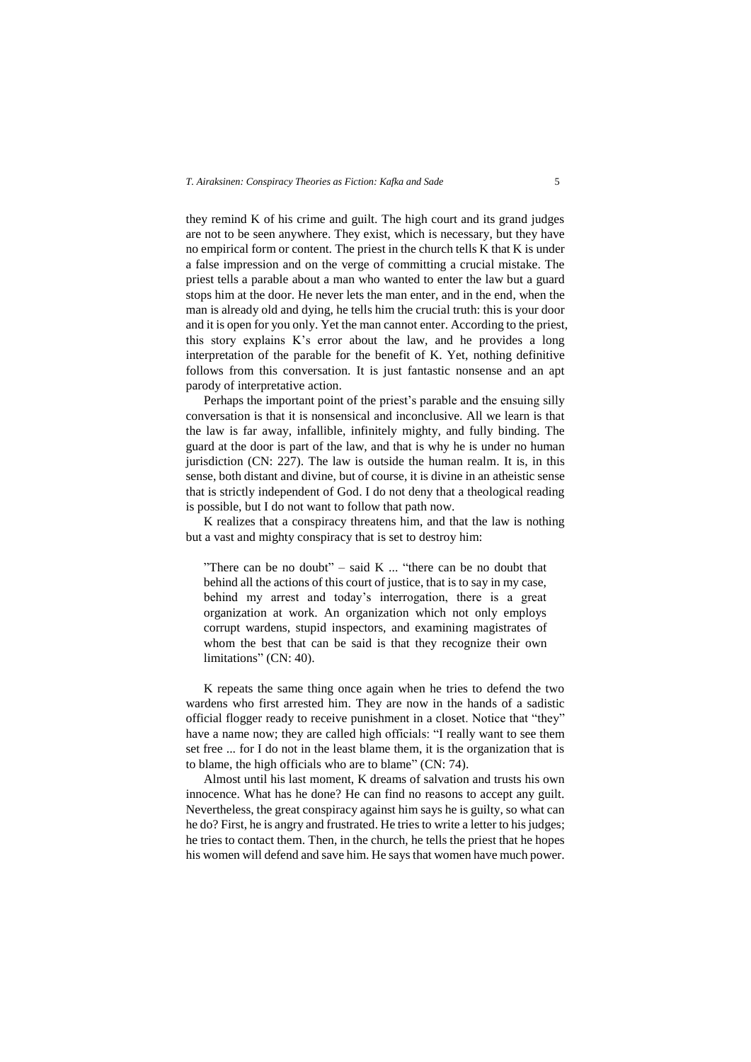they remind K of his crime and guilt. The high court and its grand judges are not to be seen anywhere. They exist, which is necessary, but they have no empirical form or content. The priest in the church tells K that K is under a false impression and on the verge of committing a crucial mistake. The priest tells a parable about a man who wanted to enter the law but a guard stops him at the door. He never lets the man enter, and in the end, when the man is already old and dying, he tells him the crucial truth: this is your door and it is open for you only. Yet the man cannot enter. According to the priest, this story explains K's error about the law, and he provides a long interpretation of the parable for the benefit of K. Yet, nothing definitive follows from this conversation. It is just fantastic nonsense and an apt parody of interpretative action.

Perhaps the important point of the priest's parable and the ensuing silly conversation is that it is nonsensical and inconclusive. All we learn is that the law is far away, infallible, infinitely mighty, and fully binding. The guard at the door is part of the law, and that is why he is under no human jurisdiction (CN: 227). The law is outside the human realm. It is, in this sense, both distant and divine, but of course, it is divine in an atheistic sense that is strictly independent of God. I do not deny that a theological reading is possible, but I do not want to follow that path now.

K realizes that a conspiracy threatens him, and that the law is nothing but a vast and mighty conspiracy that is set to destroy him:

"There can be no doubt" – said  $K$  ... "there can be no doubt that behind all the actions of this court of justice, that is to say in my case, behind my arrest and today's interrogation, there is a great organization at work. An organization which not only employs corrupt wardens, stupid inspectors, and examining magistrates of whom the best that can be said is that they recognize their own limitations" (CN: 40).

K repeats the same thing once again when he tries to defend the two wardens who first arrested him. They are now in the hands of a sadistic official flogger ready to receive punishment in a closet. Notice that "they" have a name now; they are called high officials: "I really want to see them set free ... for I do not in the least blame them, it is the organization that is to blame, the high officials who are to blame" (CN: 74).

Almost until his last moment, K dreams of salvation and trusts his own innocence. What has he done? He can find no reasons to accept any guilt. Nevertheless, the great conspiracy against him says he is guilty, so what can he do? First, he is angry and frustrated. He tries to write a letter to his judges; he tries to contact them. Then, in the church, he tells the priest that he hopes his women will defend and save him. He says that women have much power.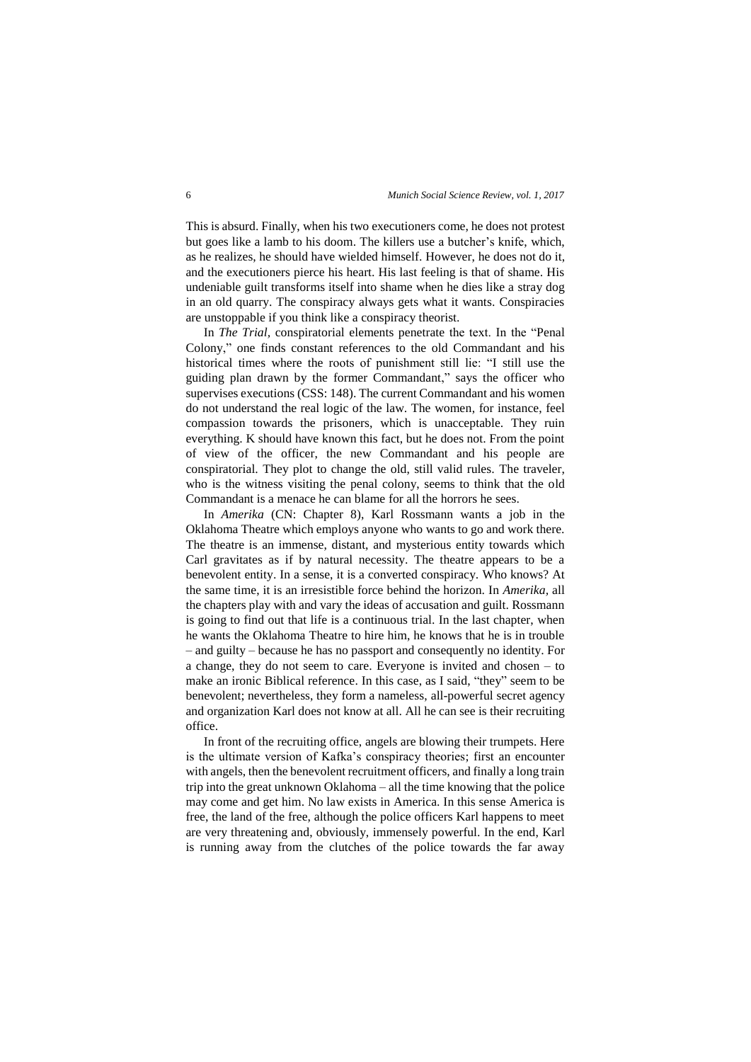This is absurd. Finally, when his two executioners come, he does not protest but goes like a lamb to his doom. The killers use a butcher's knife, which, as he realizes, he should have wielded himself. However, he does not do it, and the executioners pierce his heart. His last feeling is that of shame. His undeniable guilt transforms itself into shame when he dies like a stray dog in an old quarry. The conspiracy always gets what it wants. Conspiracies are unstoppable if you think like a conspiracy theorist.

In *The Trial,* conspiratorial elements penetrate the text. In the "Penal Colony," one finds constant references to the old Commandant and his historical times where the roots of punishment still lie: "I still use the guiding plan drawn by the former Commandant," says the officer who supervises executions (CSS: 148). The current Commandant and his women do not understand the real logic of the law. The women, for instance, feel compassion towards the prisoners, which is unacceptable. They ruin everything. K should have known this fact, but he does not. From the point of view of the officer, the new Commandant and his people are conspiratorial. They plot to change the old, still valid rules. The traveler, who is the witness visiting the penal colony, seems to think that the old Commandant is a menace he can blame for all the horrors he sees.

In *Amerika* (CN: Chapter 8), Karl Rossmann wants a job in the Oklahoma Theatre which employs anyone who wants to go and work there. The theatre is an immense, distant, and mysterious entity towards which Carl gravitates as if by natural necessity. The theatre appears to be a benevolent entity. In a sense, it is a converted conspiracy. Who knows? At the same time, it is an irresistible force behind the horizon. In *Amerika,* all the chapters play with and vary the ideas of accusation and guilt. Rossmann is going to find out that life is a continuous trial. In the last chapter, when he wants the Oklahoma Theatre to hire him, he knows that he is in trouble – and guilty – because he has no passport and consequently no identity. For a change, they do not seem to care. Everyone is invited and chosen – to make an ironic Biblical reference. In this case, as I said, "they" seem to be benevolent; nevertheless, they form a nameless, all-powerful secret agency and organization Karl does not know at all. All he can see is their recruiting office.

In front of the recruiting office, angels are blowing their trumpets. Here is the ultimate version of Kafka's conspiracy theories; first an encounter with angels, then the benevolent recruitment officers, and finally a long train trip into the great unknown Oklahoma – all the time knowing that the police may come and get him. No law exists in America. In this sense America is free, the land of the free, although the police officers Karl happens to meet are very threatening and, obviously, immensely powerful. In the end, Karl is running away from the clutches of the police towards the far away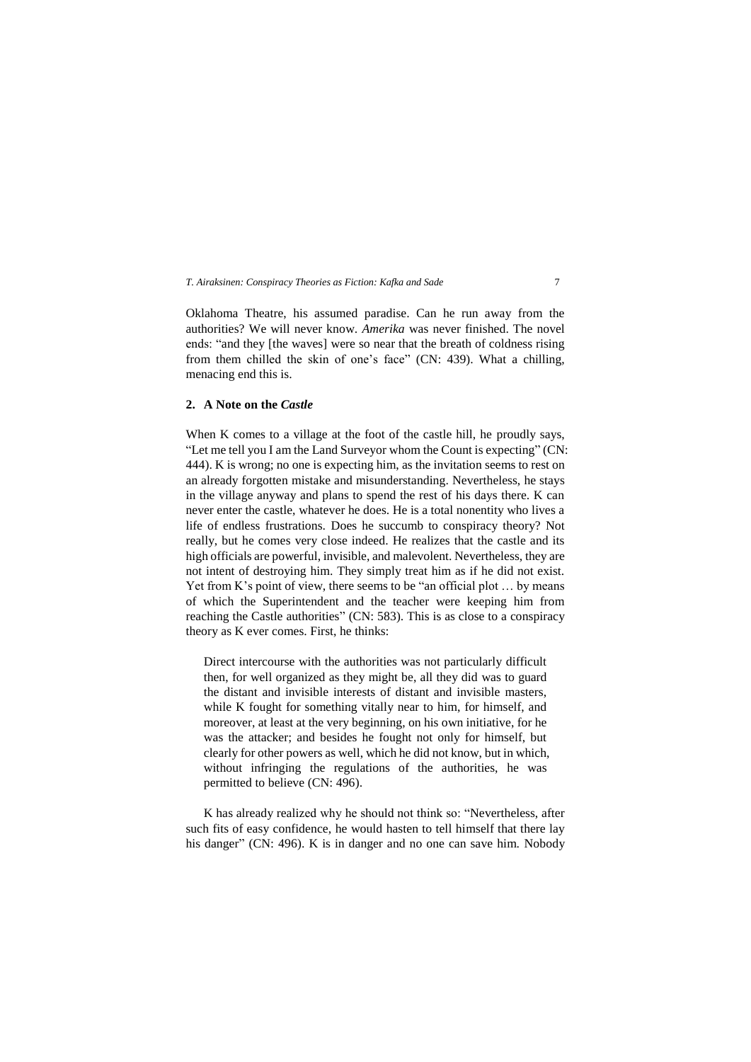Oklahoma Theatre, his assumed paradise. Can he run away from the authorities? We will never know. *Amerika* was never finished. The novel ends: "and they [the waves] were so near that the breath of coldness rising from them chilled the skin of one's face" (CN: 439). What a chilling, menacing end this is.

# **2. A Note on the** *Castle*

When K comes to a village at the foot of the castle hill, he proudly says, "Let me tell you I am the Land Surveyor whom the Count is expecting" (CN: 444). K is wrong; no one is expecting him, as the invitation seems to rest on an already forgotten mistake and misunderstanding. Nevertheless, he stays in the village anyway and plans to spend the rest of his days there. K can never enter the castle, whatever he does. He is a total nonentity who lives a life of endless frustrations. Does he succumb to conspiracy theory? Not really, but he comes very close indeed. He realizes that the castle and its high officials are powerful, invisible, and malevolent. Nevertheless, they are not intent of destroying him. They simply treat him as if he did not exist. Yet from K's point of view, there seems to be "an official plot ... by means of which the Superintendent and the teacher were keeping him from reaching the Castle authorities" (CN: 583). This is as close to a conspiracy theory as K ever comes. First, he thinks:

Direct intercourse with the authorities was not particularly difficult then, for well organized as they might be, all they did was to guard the distant and invisible interests of distant and invisible masters, while K fought for something vitally near to him, for himself, and moreover, at least at the very beginning, on his own initiative, for he was the attacker; and besides he fought not only for himself, but clearly for other powers as well, which he did not know, but in which, without infringing the regulations of the authorities, he was permitted to believe (CN: 496).

K has already realized why he should not think so: "Nevertheless, after such fits of easy confidence, he would hasten to tell himself that there lay his danger" (CN: 496). K is in danger and no one can save him. Nobody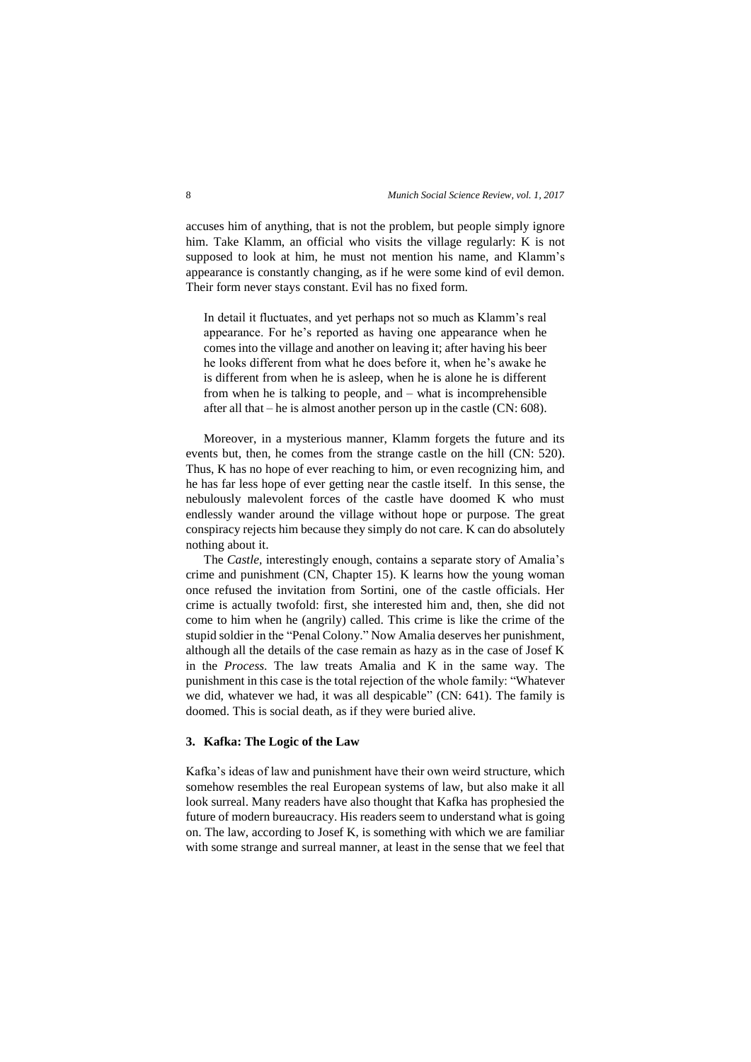accuses him of anything, that is not the problem, but people simply ignore him. Take Klamm, an official who visits the village regularly: K is not supposed to look at him, he must not mention his name, and Klamm's appearance is constantly changing, as if he were some kind of evil demon. Their form never stays constant. Evil has no fixed form.

In detail it fluctuates, and yet perhaps not so much as Klamm's real appearance. For he's reported as having one appearance when he comes into the village and another on leaving it; after having his beer he looks different from what he does before it, when he's awake he is different from when he is asleep, when he is alone he is different from when he is talking to people, and – what is incomprehensible after all that – he is almost another person up in the castle (CN: 608).

Moreover, in a mysterious manner, Klamm forgets the future and its events but, then, he comes from the strange castle on the hill (CN: 520). Thus, K has no hope of ever reaching to him, or even recognizing him, and he has far less hope of ever getting near the castle itself. In this sense, the nebulously malevolent forces of the castle have doomed K who must endlessly wander around the village without hope or purpose. The great conspiracy rejects him because they simply do not care. K can do absolutely nothing about it.

The *Castle,* interestingly enough, contains a separate story of Amalia's crime and punishment (CN, Chapter 15). K learns how the young woman once refused the invitation from Sortini, one of the castle officials. Her crime is actually twofold: first, she interested him and, then, she did not come to him when he (angrily) called. This crime is like the crime of the stupid soldier in the "Penal Colony." Now Amalia deserves her punishment, although all the details of the case remain as hazy as in the case of Josef K in the *Process*. The law treats Amalia and K in the same way. The punishment in this case is the total rejection of the whole family: "Whatever we did, whatever we had, it was all despicable" (CN: 641). The family is doomed. This is social death, as if they were buried alive.

# **3. Kafka: The Logic of the Law**

Kafka's ideas of law and punishment have their own weird structure, which somehow resembles the real European systems of law, but also make it all look surreal. Many readers have also thought that Kafka has prophesied the future of modern bureaucracy. His readers seem to understand what is going on. The law, according to Josef K, is something with which we are familiar with some strange and surreal manner, at least in the sense that we feel that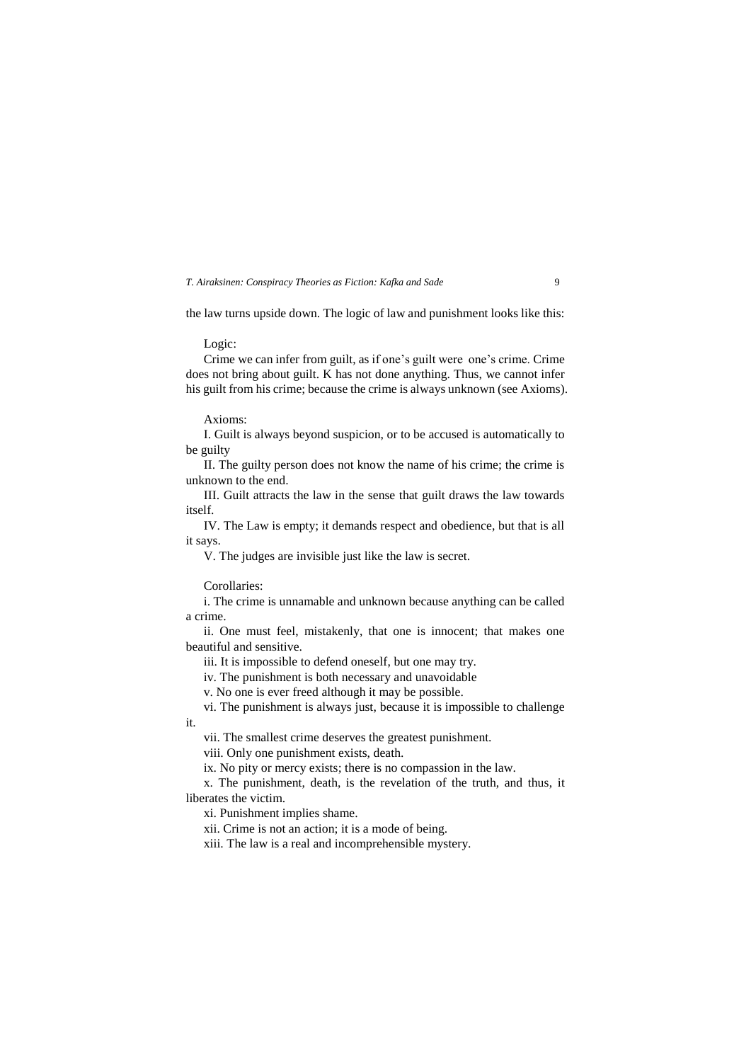# *T. Airaksinen: Conspiracy Theories as Fiction: Kafka and Sade*  $\qquad \qquad$ 9

the law turns upside down. The logic of law and punishment looks like this:

Logic:

Crime we can infer from guilt, as if one's guilt were one's crime. Crime does not bring about guilt. K has not done anything. Thus, we cannot infer his guilt from his crime; because the crime is always unknown (see Axioms).

Axioms:

I. Guilt is always beyond suspicion, or to be accused is automatically to be guilty

II. The guilty person does not know the name of his crime; the crime is unknown to the end.

III. Guilt attracts the law in the sense that guilt draws the law towards itself.

IV. The Law is empty; it demands respect and obedience, but that is all it says.

V. The judges are invisible just like the law is secret.

Corollaries:

it.

i. The crime is unnamable and unknown because anything can be called a crime.

ii. One must feel, mistakenly, that one is innocent; that makes one beautiful and sensitive.

iii. It is impossible to defend oneself, but one may try.

iv. The punishment is both necessary and unavoidable

v. No one is ever freed although it may be possible.

vi. The punishment is always just, because it is impossible to challenge

vii. The smallest crime deserves the greatest punishment.

viii. Only one punishment exists, death.

ix. No pity or mercy exists; there is no compassion in the law.

x. The punishment, death, is the revelation of the truth, and thus, it liberates the victim.

xi. Punishment implies shame.

xii. Crime is not an action; it is a mode of being.

xiii. The law is a real and incomprehensible mystery.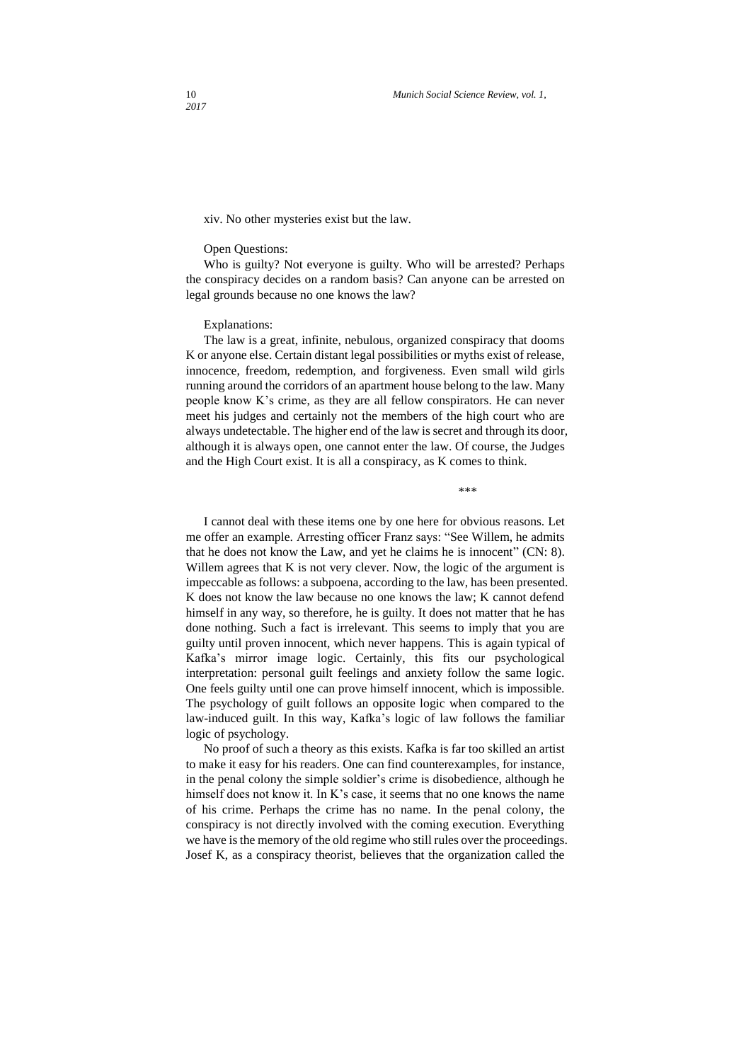xiv. No other mysteries exist but the law.

#### Open Questions:

Who is guilty? Not everyone is guilty. Who will be arrested? Perhaps the conspiracy decides on a random basis? Can anyone can be arrested on legal grounds because no one knows the law?

# Explanations:

The law is a great, infinite, nebulous, organized conspiracy that dooms K or anyone else. Certain distant legal possibilities or myths exist of release, innocence, freedom, redemption, and forgiveness. Even small wild girls running around the corridors of an apartment house belong to the law. Many people know K's crime, as they are all fellow conspirators. He can never meet his judges and certainly not the members of the high court who are always undetectable. The higher end of the law is secret and through its door, although it is always open, one cannot enter the law. Of course, the Judges and the High Court exist. It is all a conspiracy, as K comes to think.

\*\*\*

I cannot deal with these items one by one here for obvious reasons. Let me offer an example. Arresting officer Franz says: "See Willem, he admits that he does not know the Law, and yet he claims he is innocent" (CN: 8). Willem agrees that K is not very clever. Now, the logic of the argument is impeccable as follows: a subpoena, according to the law, has been presented. K does not know the law because no one knows the law; K cannot defend himself in any way, so therefore, he is guilty. It does not matter that he has done nothing. Such a fact is irrelevant. This seems to imply that you are guilty until proven innocent, which never happens. This is again typical of Kafka's mirror image logic. Certainly, this fits our psychological interpretation: personal guilt feelings and anxiety follow the same logic. One feels guilty until one can prove himself innocent, which is impossible. The psychology of guilt follows an opposite logic when compared to the law-induced guilt. In this way, Kafka's logic of law follows the familiar logic of psychology.

No proof of such a theory as this exists. Kafka is far too skilled an artist to make it easy for his readers. One can find counterexamples, for instance, in the penal colony the simple soldier's crime is disobedience, although he himself does not know it. In K's case, it seems that no one knows the name of his crime. Perhaps the crime has no name. In the penal colony, the conspiracy is not directly involved with the coming execution. Everything we have is the memory of the old regime who still rules over the proceedings. Josef K, as a conspiracy theorist, believes that the organization called the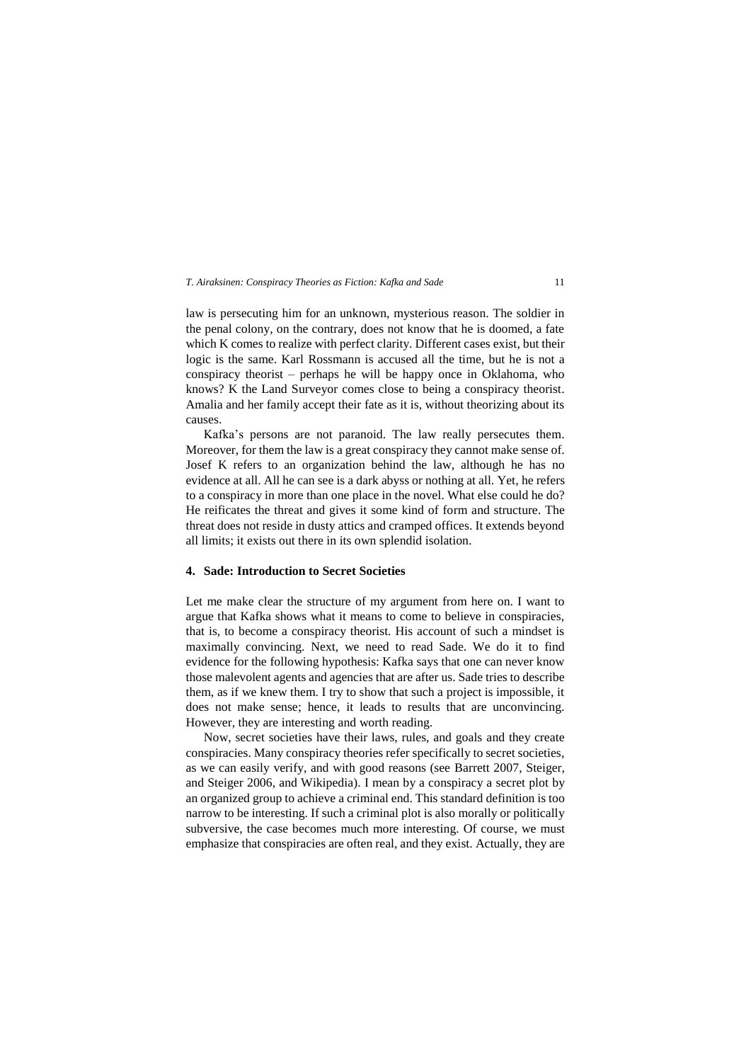law is persecuting him for an unknown, mysterious reason. The soldier in the penal colony, on the contrary, does not know that he is doomed, a fate which K comes to realize with perfect clarity. Different cases exist, but their logic is the same. Karl Rossmann is accused all the time, but he is not a conspiracy theorist – perhaps he will be happy once in Oklahoma, who knows? K the Land Surveyor comes close to being a conspiracy theorist. Amalia and her family accept their fate as it is, without theorizing about its causes.

Kafka's persons are not paranoid. The law really persecutes them. Moreover, for them the law is a great conspiracy they cannot make sense of. Josef K refers to an organization behind the law, although he has no evidence at all. All he can see is a dark abyss or nothing at all. Yet, he refers to a conspiracy in more than one place in the novel. What else could he do? He reificates the threat and gives it some kind of form and structure. The threat does not reside in dusty attics and cramped offices. It extends beyond all limits; it exists out there in its own splendid isolation.

# **4. Sade: Introduction to Secret Societies**

Let me make clear the structure of my argument from here on. I want to argue that Kafka shows what it means to come to believe in conspiracies, that is, to become a conspiracy theorist. His account of such a mindset is maximally convincing. Next, we need to read Sade. We do it to find evidence for the following hypothesis: Kafka says that one can never know those malevolent agents and agencies that are after us. Sade tries to describe them, as if we knew them. I try to show that such a project is impossible, it does not make sense; hence, it leads to results that are unconvincing. However, they are interesting and worth reading.

Now, secret societies have their laws, rules, and goals and they create conspiracies. Many conspiracy theories refer specifically to secret societies, as we can easily verify, and with good reasons (see Barrett 2007, Steiger, and Steiger 2006, and Wikipedia). I mean by a conspiracy a secret plot by an organized group to achieve a criminal end. This standard definition is too narrow to be interesting. If such a criminal plot is also morally or politically subversive, the case becomes much more interesting. Of course, we must emphasize that conspiracies are often real, and they exist. Actually, they are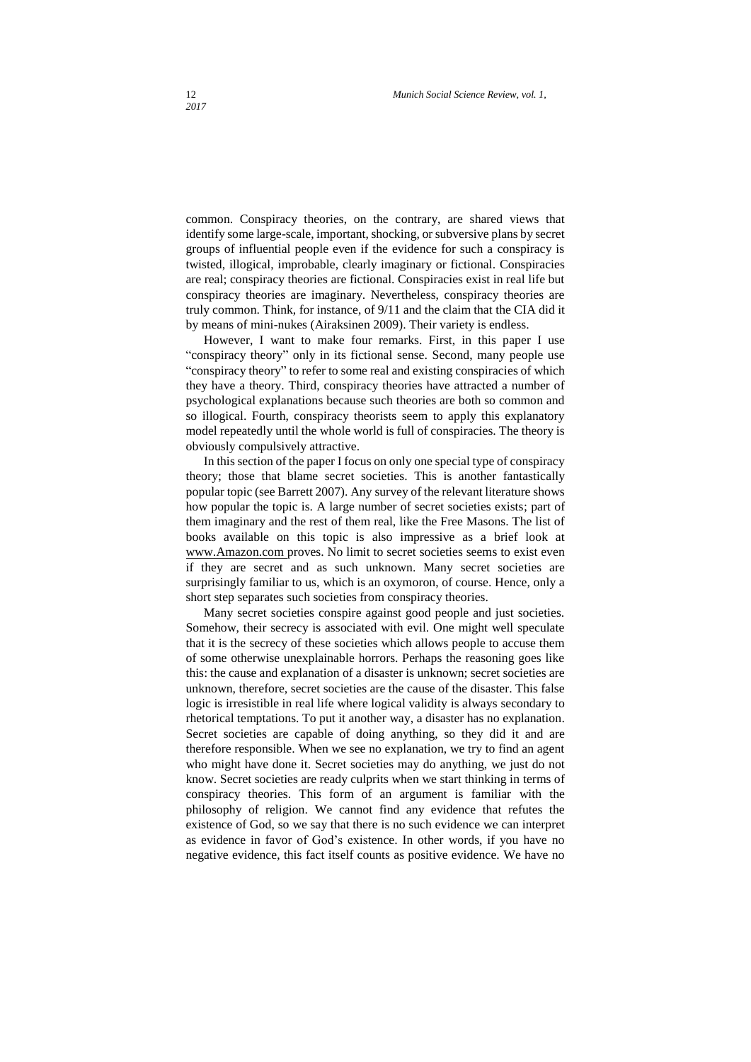common. Conspiracy theories, on the contrary, are shared views that identify some large-scale, important, shocking, or subversive plans by secret groups of influential people even if the evidence for such a conspiracy is twisted, illogical, improbable, clearly imaginary or fictional. Conspiracies are real; conspiracy theories are fictional. Conspiracies exist in real life but conspiracy theories are imaginary. Nevertheless, conspiracy theories are truly common. Think, for instance, of 9/11 and the claim that the CIA did it by means of mini-nukes (Airaksinen 2009). Their variety is endless.

However, I want to make four remarks. First, in this paper I use "conspiracy theory" only in its fictional sense. Second, many people use "conspiracy theory" to refer to some real and existing conspiracies of which they have a theory. Third, conspiracy theories have attracted a number of psychological explanations because such theories are both so common and so illogical. Fourth, conspiracy theorists seem to apply this explanatory model repeatedly until the whole world is full of conspiracies. The theory is obviously compulsively attractive.

In this section of the paper I focus on only one special type of conspiracy theory; those that blame secret societies. This is another fantastically popular topic (see Barrett 2007). Any survey of the relevant literature shows how popular the topic is. A large number of secret societies exists; part of them imaginary and the rest of them real, like the Free Masons. The list of books available on this topic is also impressive as a brief look at [www.Amazon.com](http://www.amazon.com/) proves. No limit to secret societies seems to exist even if they are secret and as such unknown. Many secret societies are surprisingly familiar to us, which is an oxymoron, of course. Hence, only a short step separates such societies from conspiracy theories.

Many secret societies conspire against good people and just societies. Somehow, their secrecy is associated with evil. One might well speculate that it is the secrecy of these societies which allows people to accuse them of some otherwise unexplainable horrors. Perhaps the reasoning goes like this: the cause and explanation of a disaster is unknown; secret societies are unknown, therefore, secret societies are the cause of the disaster. This false logic is irresistible in real life where logical validity is always secondary to rhetorical temptations. To put it another way, a disaster has no explanation. Secret societies are capable of doing anything, so they did it and are therefore responsible. When we see no explanation, we try to find an agent who might have done it. Secret societies may do anything, we just do not know. Secret societies are ready culprits when we start thinking in terms of conspiracy theories. This form of an argument is familiar with the philosophy of religion. We cannot find any evidence that refutes the existence of God, so we say that there is no such evidence we can interpret as evidence in favor of God's existence. In other words, if you have no negative evidence, this fact itself counts as positive evidence. We have no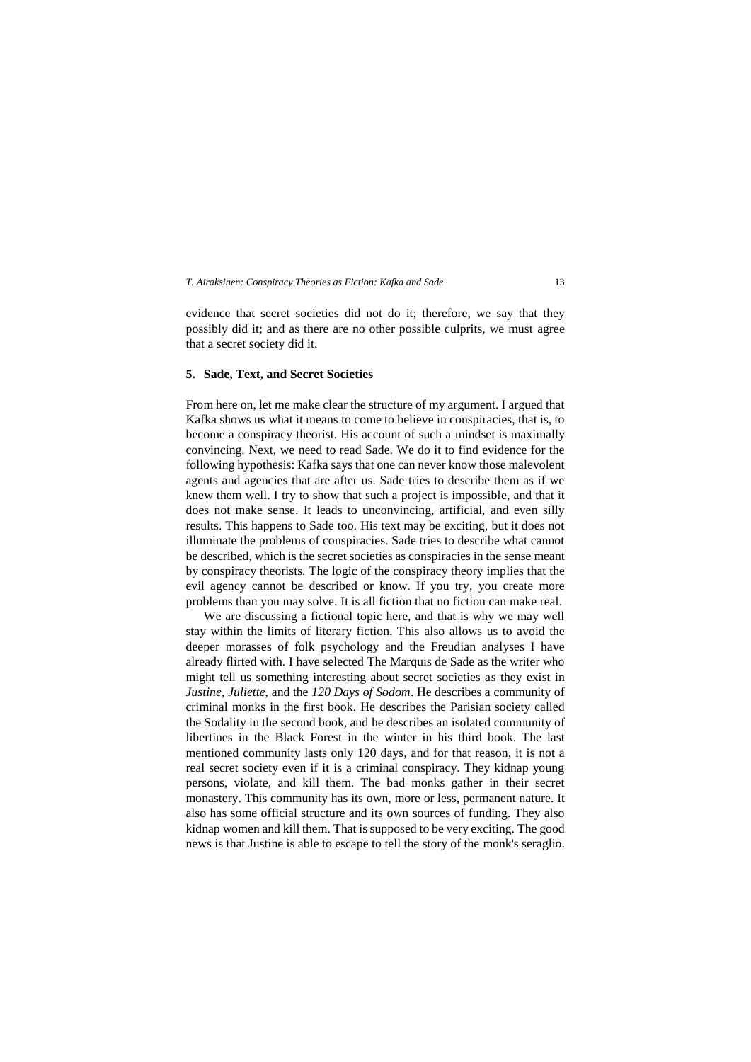evidence that secret societies did not do it; therefore, we say that they possibly did it; and as there are no other possible culprits, we must agree that a secret society did it.

### **5. Sade, Text, and Secret Societies**

From here on, let me make clear the structure of my argument. I argued that Kafka shows us what it means to come to believe in conspiracies, that is, to become a conspiracy theorist. His account of such a mindset is maximally convincing. Next, we need to read Sade. We do it to find evidence for the following hypothesis: Kafka says that one can never know those malevolent agents and agencies that are after us. Sade tries to describe them as if we knew them well. I try to show that such a project is impossible, and that it does not make sense. It leads to unconvincing, artificial, and even silly results. This happens to Sade too. His text may be exciting, but it does not illuminate the problems of conspiracies. Sade tries to describe what cannot be described, which is the secret societies as conspiracies in the sense meant by conspiracy theorists. The logic of the conspiracy theory implies that the evil agency cannot be described or know. If you try, you create more problems than you may solve. It is all fiction that no fiction can make real.

We are discussing a fictional topic here, and that is why we may well stay within the limits of literary fiction. This also allows us to avoid the deeper morasses of folk psychology and the Freudian analyses I have already flirted with. I have selected The Marquis de Sade as the writer who might tell us something interesting about secret societies as they exist in *Justine*, *Juliette*, and the *120 Days of Sodom*. He describes a community of criminal monks in the first book. He describes the Parisian society called the Sodality in the second book, and he describes an isolated community of libertines in the Black Forest in the winter in his third book. The last mentioned community lasts only 120 days, and for that reason, it is not a real secret society even if it is a criminal conspiracy. They kidnap young persons, violate, and kill them. The bad monks gather in their secret monastery. This community has its own, more or less, permanent nature. It also has some official structure and its own sources of funding. They also kidnap women and kill them. That is supposed to be very exciting. The good news is that Justine is able to escape to tell the story of the monk's seraglio.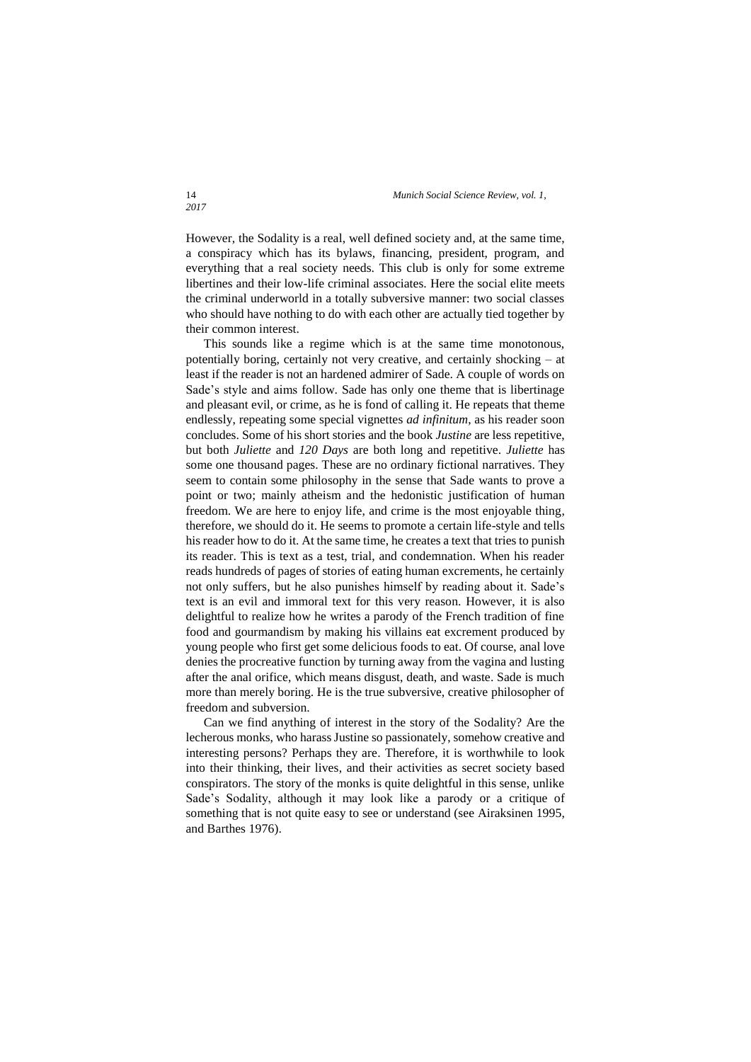However, the Sodality is a real, well defined society and, at the same time, a conspiracy which has its bylaws, financing, president, program, and everything that a real society needs. This club is only for some extreme libertines and their low-life criminal associates. Here the social elite meets the criminal underworld in a totally subversive manner: two social classes who should have nothing to do with each other are actually tied together by their common interest.

This sounds like a regime which is at the same time monotonous, potentially boring, certainly not very creative, and certainly shocking – at least if the reader is not an hardened admirer of Sade. A couple of words on Sade's style and aims follow. Sade has only one theme that is libertinage and pleasant evil, or crime, as he is fond of calling it. He repeats that theme endlessly, repeating some special vignettes *ad infinitum*, as his reader soon concludes. Some of his short stories and the book *Justine* are less repetitive, but both *Juliette* and *120 Days* are both long and repetitive. *Juliette* has some one thousand pages. These are no ordinary fictional narratives. They seem to contain some philosophy in the sense that Sade wants to prove a point or two; mainly atheism and the hedonistic justification of human freedom. We are here to enjoy life, and crime is the most enjoyable thing, therefore, we should do it. He seems to promote a certain life-style and tells his reader how to do it. At the same time, he creates a text that tries to punish its reader. This is text as a test, trial, and condemnation. When his reader reads hundreds of pages of stories of eating human excrements, he certainly not only suffers, but he also punishes himself by reading about it. Sade's text is an evil and immoral text for this very reason. However, it is also delightful to realize how he writes a parody of the French tradition of fine food and gourmandism by making his villains eat excrement produced by young people who first get some delicious foods to eat. Of course, anal love denies the procreative function by turning away from the vagina and lusting after the anal orifice, which means disgust, death, and waste. Sade is much more than merely boring. He is the true subversive, creative philosopher of freedom and subversion.

Can we find anything of interest in the story of the Sodality? Are the lecherous monks, who harass Justine so passionately, somehow creative and interesting persons? Perhaps they are. Therefore, it is worthwhile to look into their thinking, their lives, and their activities as secret society based conspirators. The story of the monks is quite delightful in this sense, unlike Sade's Sodality, although it may look like a parody or a critique of something that is not quite easy to see or understand (see Airaksinen 1995, and Barthes 1976).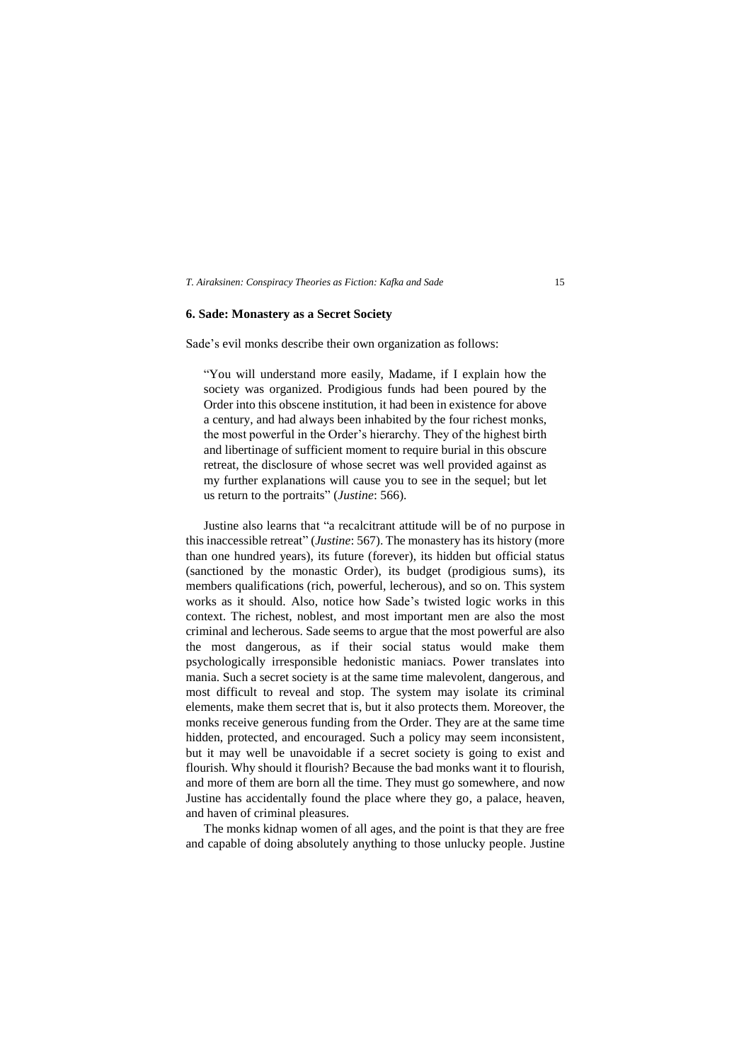# **6. Sade: Monastery as a Secret Society**

Sade's evil monks describe their own organization as follows:

"You will understand more easily, Madame, if I explain how the society was organized. Prodigious funds had been poured by the Order into this obscene institution, it had been in existence for above a century, and had always been inhabited by the four richest monks, the most powerful in the Order's hierarchy. They of the highest birth and libertinage of sufficient moment to require burial in this obscure retreat, the disclosure of whose secret was well provided against as my further explanations will cause you to see in the sequel; but let us return to the portraits" (*Justine*: 566).

Justine also learns that "a recalcitrant attitude will be of no purpose in this inaccessible retreat" (*Justine*: 567). The monastery has its history (more than one hundred years), its future (forever), its hidden but official status (sanctioned by the monastic Order), its budget (prodigious sums), its members qualifications (rich, powerful, lecherous), and so on. This system works as it should. Also, notice how Sade's twisted logic works in this context. The richest, noblest, and most important men are also the most criminal and lecherous. Sade seems to argue that the most powerful are also the most dangerous, as if their social status would make them psychologically irresponsible hedonistic maniacs. Power translates into mania. Such a secret society is at the same time malevolent, dangerous, and most difficult to reveal and stop. The system may isolate its criminal elements, make them secret that is, but it also protects them. Moreover, the monks receive generous funding from the Order. They are at the same time hidden, protected, and encouraged. Such a policy may seem inconsistent, but it may well be unavoidable if a secret society is going to exist and flourish. Why should it flourish? Because the bad monks want it to flourish, and more of them are born all the time. They must go somewhere, and now Justine has accidentally found the place where they go, a palace, heaven, and haven of criminal pleasures.

The monks kidnap women of all ages, and the point is that they are free and capable of doing absolutely anything to those unlucky people. Justine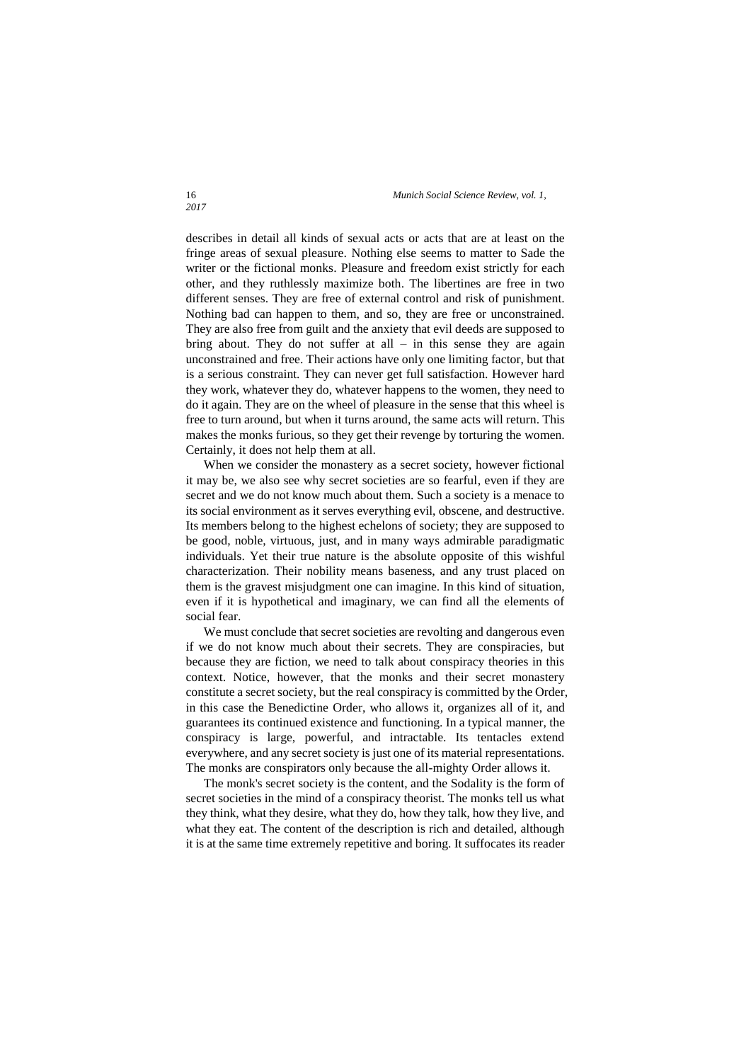describes in detail all kinds of sexual acts or acts that are at least on the fringe areas of sexual pleasure. Nothing else seems to matter to Sade the writer or the fictional monks. Pleasure and freedom exist strictly for each other, and they ruthlessly maximize both. The libertines are free in two different senses. They are free of external control and risk of punishment. Nothing bad can happen to them, and so, they are free or unconstrained. They are also free from guilt and the anxiety that evil deeds are supposed to bring about. They do not suffer at all  $-$  in this sense they are again unconstrained and free. Their actions have only one limiting factor, but that is a serious constraint. They can never get full satisfaction. However hard they work, whatever they do, whatever happens to the women, they need to do it again. They are on the wheel of pleasure in the sense that this wheel is free to turn around, but when it turns around, the same acts will return. This makes the monks furious, so they get their revenge by torturing the women. Certainly, it does not help them at all.

When we consider the monastery as a secret society, however fictional it may be, we also see why secret societies are so fearful, even if they are secret and we do not know much about them. Such a society is a menace to its social environment as it serves everything evil, obscene, and destructive. Its members belong to the highest echelons of society; they are supposed to be good, noble, virtuous, just, and in many ways admirable paradigmatic individuals. Yet their true nature is the absolute opposite of this wishful characterization. Their nobility means baseness, and any trust placed on them is the gravest misjudgment one can imagine. In this kind of situation, even if it is hypothetical and imaginary, we can find all the elements of social fear.

We must conclude that secret societies are revolting and dangerous even if we do not know much about their secrets. They are conspiracies, but because they are fiction, we need to talk about conspiracy theories in this context. Notice, however, that the monks and their secret monastery constitute a secret society, but the real conspiracy is committed by the Order, in this case the Benedictine Order, who allows it, organizes all of it, and guarantees its continued existence and functioning. In a typical manner, the conspiracy is large, powerful, and intractable. Its tentacles extend everywhere, and any secret society is just one of its material representations. The monks are conspirators only because the all-mighty Order allows it.

The monk's secret society is the content, and the Sodality is the form of secret societies in the mind of a conspiracy theorist. The monks tell us what they think, what they desire, what they do, how they talk, how they live, and what they eat. The content of the description is rich and detailed, although it is at the same time extremely repetitive and boring. It suffocates its reader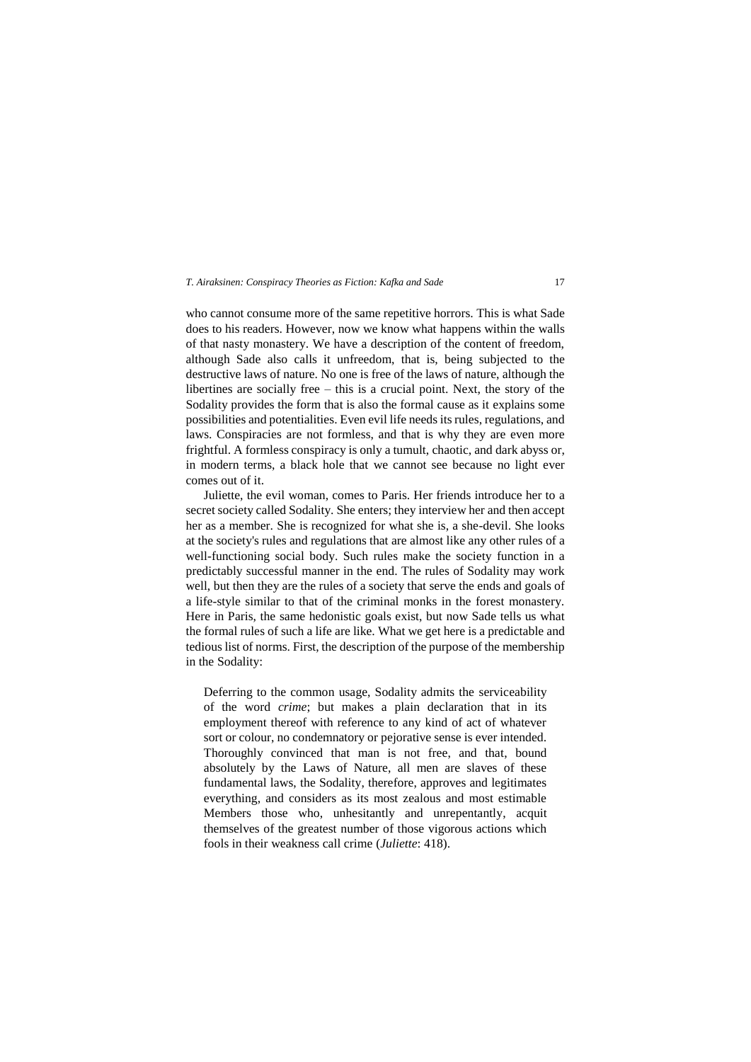who cannot consume more of the same repetitive horrors. This is what Sade does to his readers. However, now we know what happens within the walls of that nasty monastery. We have a description of the content of freedom, although Sade also calls it unfreedom, that is, being subjected to the destructive laws of nature. No one is free of the laws of nature, although the libertines are socially free – this is a crucial point. Next, the story of the Sodality provides the form that is also the formal cause as it explains some possibilities and potentialities. Even evil life needs its rules, regulations, and laws. Conspiracies are not formless, and that is why they are even more frightful. A formless conspiracy is only a tumult, chaotic, and dark abyss or, in modern terms, a black hole that we cannot see because no light ever comes out of it.

Juliette, the evil woman, comes to Paris. Her friends introduce her to a secret society called Sodality. She enters; they interview her and then accept her as a member. She is recognized for what she is, a she-devil. She looks at the society's rules and regulations that are almost like any other rules of a well-functioning social body. Such rules make the society function in a predictably successful manner in the end. The rules of Sodality may work well, but then they are the rules of a society that serve the ends and goals of a life-style similar to that of the criminal monks in the forest monastery. Here in Paris, the same hedonistic goals exist, but now Sade tells us what the formal rules of such a life are like. What we get here is a predictable and tedious list of norms. First, the description of the purpose of the membership in the Sodality:

Deferring to the common usage, Sodality admits the serviceability of the word *crime*; but makes a plain declaration that in its employment thereof with reference to any kind of act of whatever sort or colour, no condemnatory or pejorative sense is ever intended. Thoroughly convinced that man is not free, and that, bound absolutely by the Laws of Nature, all men are slaves of these fundamental laws, the Sodality, therefore, approves and legitimates everything, and considers as its most zealous and most estimable Members those who, unhesitantly and unrepentantly, acquit themselves of the greatest number of those vigorous actions which fools in their weakness call crime (*Juliette*: 418).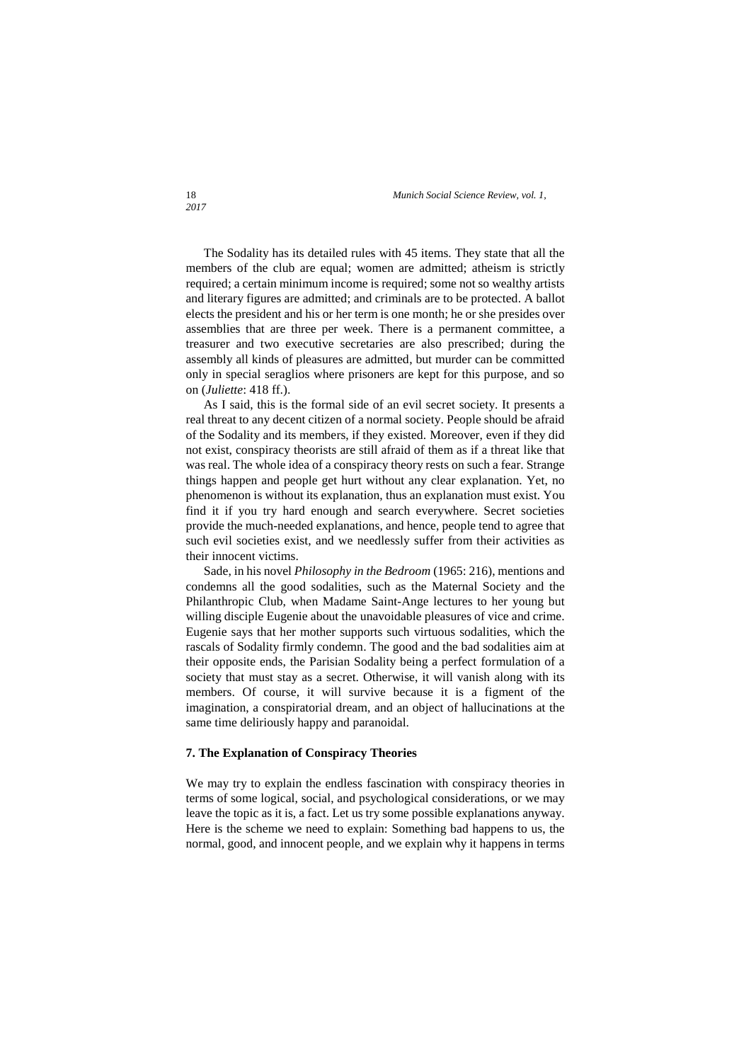The Sodality has its detailed rules with 45 items. They state that all the members of the club are equal; women are admitted; atheism is strictly required; a certain minimum income is required; some not so wealthy artists and literary figures are admitted; and criminals are to be protected. A ballot elects the president and his or her term is one month; he or she presides over assemblies that are three per week. There is a permanent committee, a treasurer and two executive secretaries are also prescribed; during the assembly all kinds of pleasures are admitted, but murder can be committed only in special seraglios where prisoners are kept for this purpose, and so on (*Juliette*: 418 ff.).

As I said, this is the formal side of an evil secret society. It presents a real threat to any decent citizen of a normal society. People should be afraid of the Sodality and its members, if they existed. Moreover, even if they did not exist, conspiracy theorists are still afraid of them as if a threat like that was real. The whole idea of a conspiracy theory rests on such a fear. Strange things happen and people get hurt without any clear explanation. Yet, no phenomenon is without its explanation, thus an explanation must exist. You find it if you try hard enough and search everywhere. Secret societies provide the much-needed explanations, and hence, people tend to agree that such evil societies exist, and we needlessly suffer from their activities as their innocent victims.

Sade, in his novel *Philosophy in the Bedroom* (1965: 216), mentions and condemns all the good sodalities, such as the Maternal Society and the Philanthropic Club, when Madame Saint-Ange lectures to her young but willing disciple Eugenie about the unavoidable pleasures of vice and crime. Eugenie says that her mother supports such virtuous sodalities, which the rascals of Sodality firmly condemn. The good and the bad sodalities aim at their opposite ends, the Parisian Sodality being a perfect formulation of a society that must stay as a secret. Otherwise, it will vanish along with its members. Of course, it will survive because it is a figment of the imagination, a conspiratorial dream, and an object of hallucinations at the same time deliriously happy and paranoidal.

# **7. The Explanation of Conspiracy Theories**

We may try to explain the endless fascination with conspiracy theories in terms of some logical, social, and psychological considerations, or we may leave the topic as it is, a fact. Let us try some possible explanations anyway. Here is the scheme we need to explain: Something bad happens to us, the normal, good, and innocent people, and we explain why it happens in terms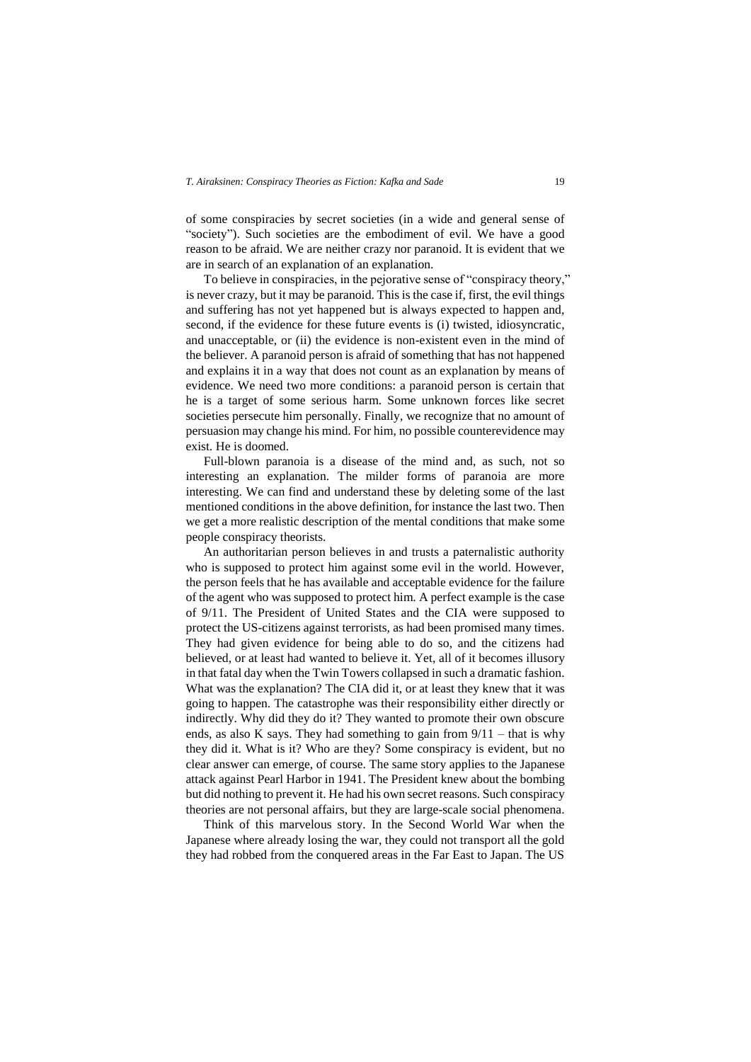of some conspiracies by secret societies (in a wide and general sense of "society"). Such societies are the embodiment of evil. We have a good reason to be afraid. We are neither crazy nor paranoid. It is evident that we are in search of an explanation of an explanation.

To believe in conspiracies, in the pejorative sense of "conspiracy theory," is never crazy, but it may be paranoid. This is the case if, first, the evil things and suffering has not yet happened but is always expected to happen and, second, if the evidence for these future events is (i) twisted, idiosyncratic, and unacceptable, or (ii) the evidence is non-existent even in the mind of the believer. A paranoid person is afraid of something that has not happened and explains it in a way that does not count as an explanation by means of evidence. We need two more conditions: a paranoid person is certain that he is a target of some serious harm. Some unknown forces like secret societies persecute him personally. Finally, we recognize that no amount of persuasion may change his mind. For him, no possible counterevidence may exist. He is doomed.

Full-blown paranoia is a disease of the mind and, as such, not so interesting an explanation. The milder forms of paranoia are more interesting. We can find and understand these by deleting some of the last mentioned conditions in the above definition, for instance the last two. Then we get a more realistic description of the mental conditions that make some people conspiracy theorists.

An authoritarian person believes in and trusts a paternalistic authority who is supposed to protect him against some evil in the world. However, the person feels that he has available and acceptable evidence for the failure of the agent who was supposed to protect him. A perfect example is the case of 9/11. The President of United States and the CIA were supposed to protect the US-citizens against terrorists, as had been promised many times. They had given evidence for being able to do so, and the citizens had believed, or at least had wanted to believe it. Yet, all of it becomes illusory in that fatal day when the Twin Towers collapsed in such a dramatic fashion. What was the explanation? The CIA did it, or at least they knew that it was going to happen. The catastrophe was their responsibility either directly or indirectly. Why did they do it? They wanted to promote their own obscure ends, as also K says. They had something to gain from  $9/11$  – that is why they did it. What is it? Who are they? Some conspiracy is evident, but no clear answer can emerge, of course. The same story applies to the Japanese attack against Pearl Harbor in 1941. The President knew about the bombing but did nothing to prevent it. He had his own secret reasons. Such conspiracy theories are not personal affairs, but they are large-scale social phenomena.

Think of this marvelous story. In the Second World War when the Japanese where already losing the war, they could not transport all the gold they had robbed from the conquered areas in the Far East to Japan. The US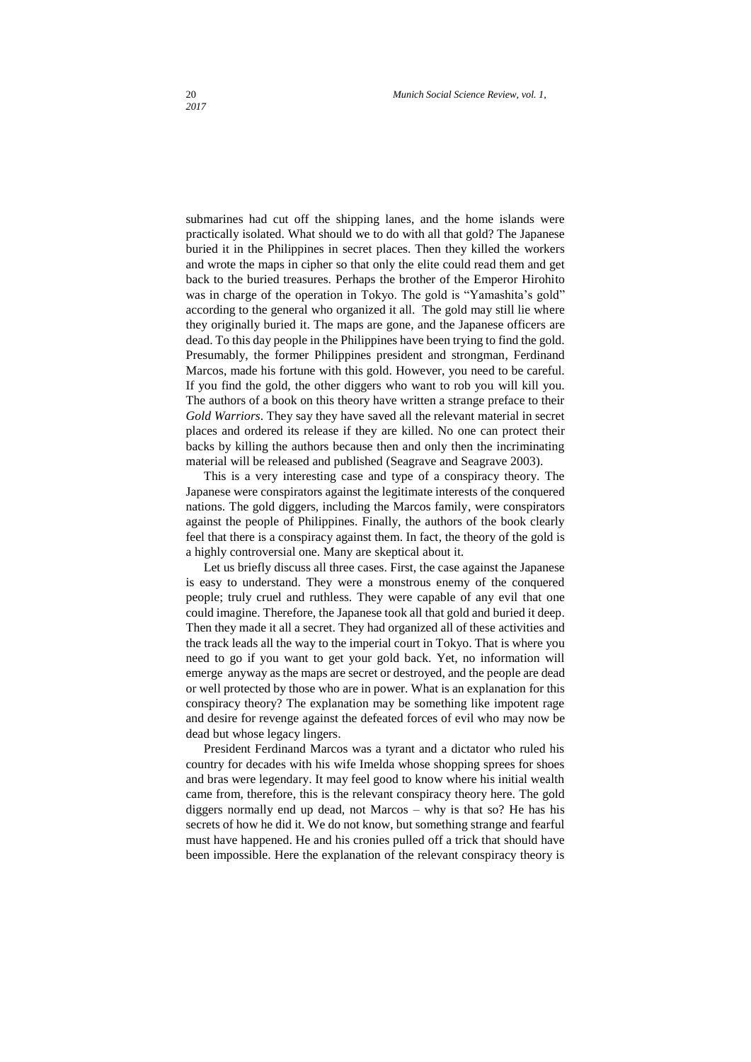submarines had cut off the shipping lanes, and the home islands were practically isolated. What should we to do with all that gold? The Japanese buried it in the Philippines in secret places. Then they killed the workers and wrote the maps in cipher so that only the elite could read them and get back to the buried treasures. Perhaps the brother of the Emperor Hirohito was in charge of the operation in Tokyo. The gold is "Yamashita's gold" according to the general who organized it all. The gold may still lie where they originally buried it. The maps are gone, and the Japanese officers are dead. To this day people in the Philippines have been trying to find the gold. Presumably, the former Philippines president and strongman, Ferdinand Marcos, made his fortune with this gold. However, you need to be careful. If you find the gold, the other diggers who want to rob you will kill you. The authors of a book on this theory have written a strange preface to their *Gold Warriors*. They say they have saved all the relevant material in secret places and ordered its release if they are killed. No one can protect their backs by killing the authors because then and only then the incriminating material will be released and published (Seagrave and Seagrave 2003).

This is a very interesting case and type of a conspiracy theory. The Japanese were conspirators against the legitimate interests of the conquered nations. The gold diggers, including the Marcos family, were conspirators against the people of Philippines. Finally, the authors of the book clearly feel that there is a conspiracy against them. In fact, the theory of the gold is a highly controversial one. Many are skeptical about it.

Let us briefly discuss all three cases. First, the case against the Japanese is easy to understand. They were a monstrous enemy of the conquered people; truly cruel and ruthless. They were capable of any evil that one could imagine. Therefore, the Japanese took all that gold and buried it deep. Then they made it all a secret. They had organized all of these activities and the track leads all the way to the imperial court in Tokyo. That is where you need to go if you want to get your gold back. Yet, no information will emerge anyway as the maps are secret or destroyed, and the people are dead or well protected by those who are in power. What is an explanation for this conspiracy theory? The explanation may be something like impotent rage and desire for revenge against the defeated forces of evil who may now be dead but whose legacy lingers.

President Ferdinand Marcos was a tyrant and a dictator who ruled his country for decades with his wife Imelda whose shopping sprees for shoes and bras were legendary. It may feel good to know where his initial wealth came from, therefore, this is the relevant conspiracy theory here. The gold diggers normally end up dead, not Marcos – why is that so? He has his secrets of how he did it. We do not know, but something strange and fearful must have happened. He and his cronies pulled off a trick that should have been impossible. Here the explanation of the relevant conspiracy theory is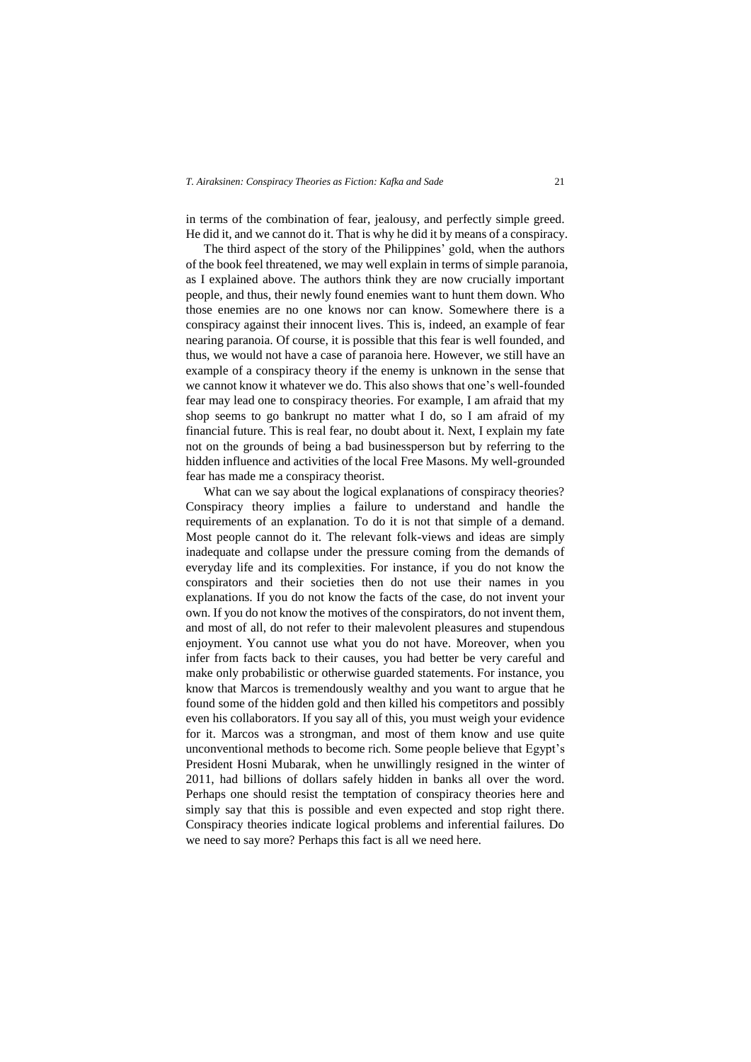in terms of the combination of fear, jealousy, and perfectly simple greed. He did it, and we cannot do it. That is why he did it by means of a conspiracy.

The third aspect of the story of the Philippines' gold, when the authors of the book feel threatened, we may well explain in terms of simple paranoia, as I explained above. The authors think they are now crucially important people, and thus, their newly found enemies want to hunt them down. Who those enemies are no one knows nor can know. Somewhere there is a conspiracy against their innocent lives. This is, indeed, an example of fear nearing paranoia. Of course, it is possible that this fear is well founded, and thus, we would not have a case of paranoia here. However, we still have an example of a conspiracy theory if the enemy is unknown in the sense that we cannot know it whatever we do. This also shows that one's well-founded fear may lead one to conspiracy theories. For example, I am afraid that my shop seems to go bankrupt no matter what I do, so I am afraid of my financial future. This is real fear, no doubt about it. Next, I explain my fate not on the grounds of being a bad businessperson but by referring to the hidden influence and activities of the local Free Masons. My well-grounded fear has made me a conspiracy theorist.

What can we say about the logical explanations of conspiracy theories? Conspiracy theory implies a failure to understand and handle the requirements of an explanation. To do it is not that simple of a demand. Most people cannot do it. The relevant folk-views and ideas are simply inadequate and collapse under the pressure coming from the demands of everyday life and its complexities. For instance, if you do not know the conspirators and their societies then do not use their names in you explanations. If you do not know the facts of the case, do not invent your own. If you do not know the motives of the conspirators, do not invent them, and most of all, do not refer to their malevolent pleasures and stupendous enjoyment. You cannot use what you do not have. Moreover, when you infer from facts back to their causes, you had better be very careful and make only probabilistic or otherwise guarded statements. For instance, you know that Marcos is tremendously wealthy and you want to argue that he found some of the hidden gold and then killed his competitors and possibly even his collaborators. If you say all of this, you must weigh your evidence for it. Marcos was a strongman, and most of them know and use quite unconventional methods to become rich. Some people believe that Egypt's President Hosni Mubarak, when he unwillingly resigned in the winter of 2011, had billions of dollars safely hidden in banks all over the word. Perhaps one should resist the temptation of conspiracy theories here and simply say that this is possible and even expected and stop right there. Conspiracy theories indicate logical problems and inferential failures. Do we need to say more? Perhaps this fact is all we need here.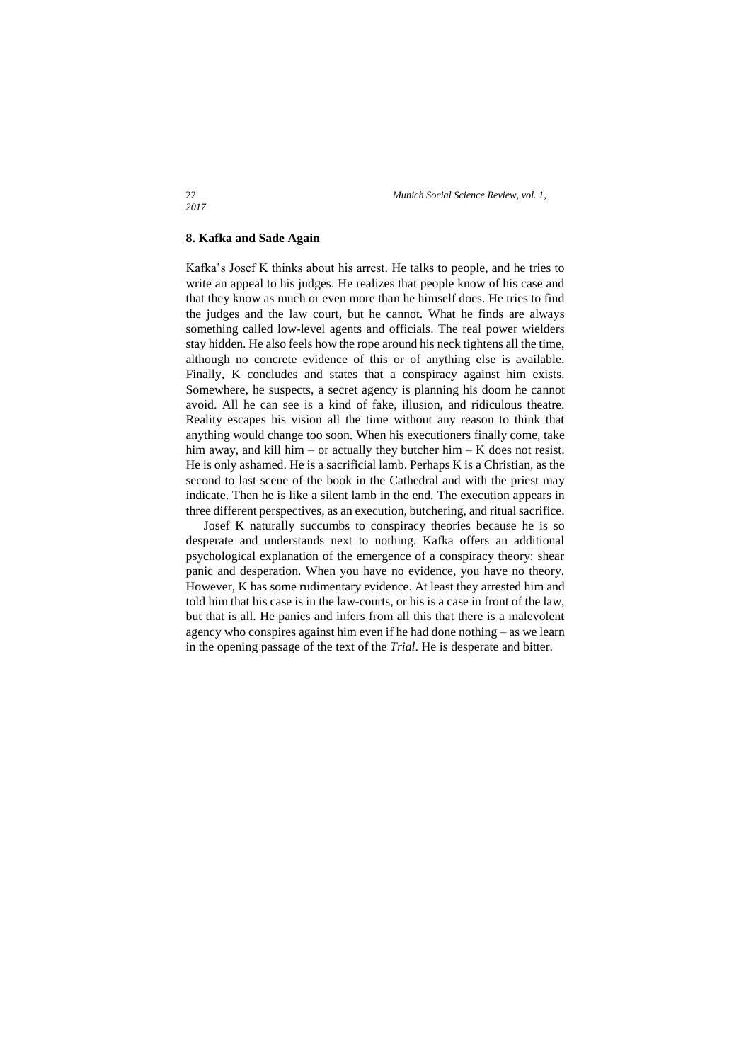# **8. Kafka and Sade Again**

Kafka's Josef K thinks about his arrest. He talks to people, and he tries to write an appeal to his judges. He realizes that people know of his case and that they know as much or even more than he himself does. He tries to find the judges and the law court, but he cannot. What he finds are always something called low-level agents and officials. The real power wielders stay hidden. He also feels how the rope around his neck tightens all the time, although no concrete evidence of this or of anything else is available. Finally, K concludes and states that a conspiracy against him exists. Somewhere, he suspects, a secret agency is planning his doom he cannot avoid. All he can see is a kind of fake, illusion, and ridiculous theatre. Reality escapes his vision all the time without any reason to think that anything would change too soon. When his executioners finally come, take him away, and kill him – or actually they butcher him – K does not resist. He is only ashamed. He is a sacrificial lamb. Perhaps K is a Christian, as the second to last scene of the book in the Cathedral and with the priest may indicate. Then he is like a silent lamb in the end. The execution appears in three different perspectives, as an execution, butchering, and ritual sacrifice.

Josef K naturally succumbs to conspiracy theories because he is so desperate and understands next to nothing. Kafka offers an additional psychological explanation of the emergence of a conspiracy theory: shear panic and desperation. When you have no evidence, you have no theory. However, K has some rudimentary evidence. At least they arrested him and told him that his case is in the law-courts, or his is a case in front of the law, but that is all. He panics and infers from all this that there is a malevolent agency who conspires against him even if he had done nothing – as we learn in the opening passage of the text of the *Trial*. He is desperate and bitter.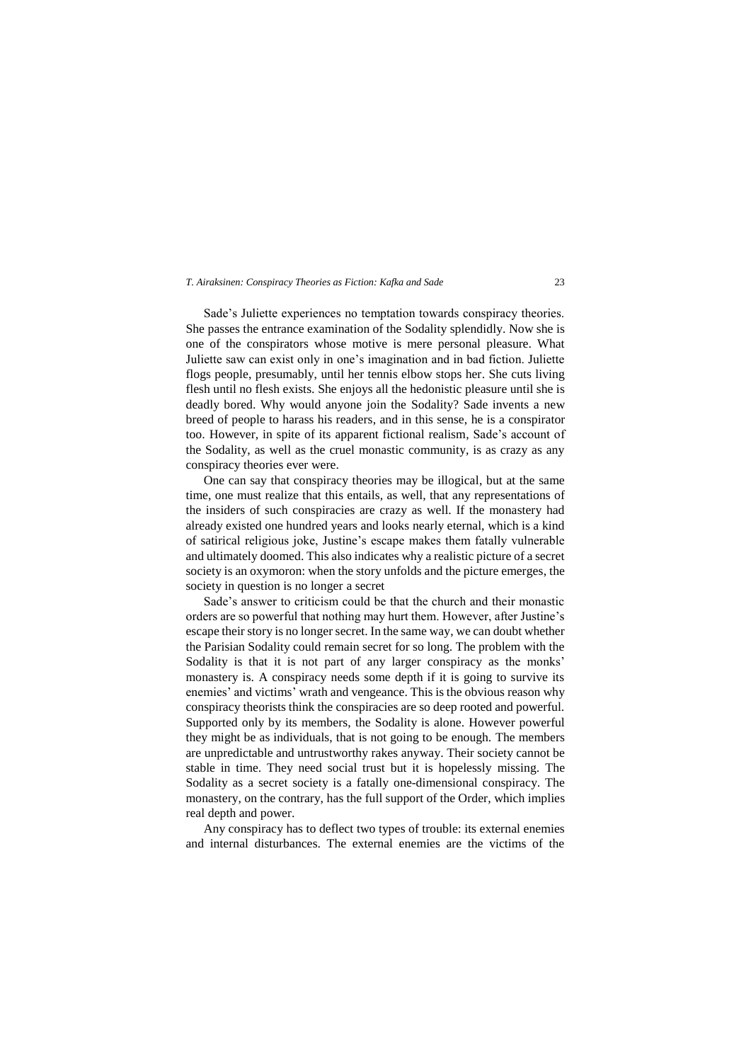Sade's Juliette experiences no temptation towards conspiracy theories. She passes the entrance examination of the Sodality splendidly. Now she is one of the conspirators whose motive is mere personal pleasure. What Juliette saw can exist only in one's imagination and in bad fiction. Juliette flogs people, presumably, until her tennis elbow stops her. She cuts living flesh until no flesh exists. She enjoys all the hedonistic pleasure until she is deadly bored. Why would anyone join the Sodality? Sade invents a new breed of people to harass his readers, and in this sense, he is a conspirator too. However, in spite of its apparent fictional realism, Sade's account of the Sodality, as well as the cruel monastic community, is as crazy as any conspiracy theories ever were.

One can say that conspiracy theories may be illogical, but at the same time, one must realize that this entails, as well, that any representations of the insiders of such conspiracies are crazy as well. If the monastery had already existed one hundred years and looks nearly eternal, which is a kind of satirical religious joke, Justine's escape makes them fatally vulnerable and ultimately doomed. This also indicates why a realistic picture of a secret society is an oxymoron: when the story unfolds and the picture emerges, the society in question is no longer a secret

Sade's answer to criticism could be that the church and their monastic orders are so powerful that nothing may hurt them. However, after Justine's escape their story is no longer secret. In the same way, we can doubt whether the Parisian Sodality could remain secret for so long. The problem with the Sodality is that it is not part of any larger conspiracy as the monks' monastery is. A conspiracy needs some depth if it is going to survive its enemies' and victims' wrath and vengeance. This is the obvious reason why conspiracy theorists think the conspiracies are so deep rooted and powerful. Supported only by its members, the Sodality is alone. However powerful they might be as individuals, that is not going to be enough. The members are unpredictable and untrustworthy rakes anyway. Their society cannot be stable in time. They need social trust but it is hopelessly missing. The Sodality as a secret society is a fatally one-dimensional conspiracy. The monastery, on the contrary, has the full support of the Order, which implies real depth and power.

Any conspiracy has to deflect two types of trouble: its external enemies and internal disturbances. The external enemies are the victims of the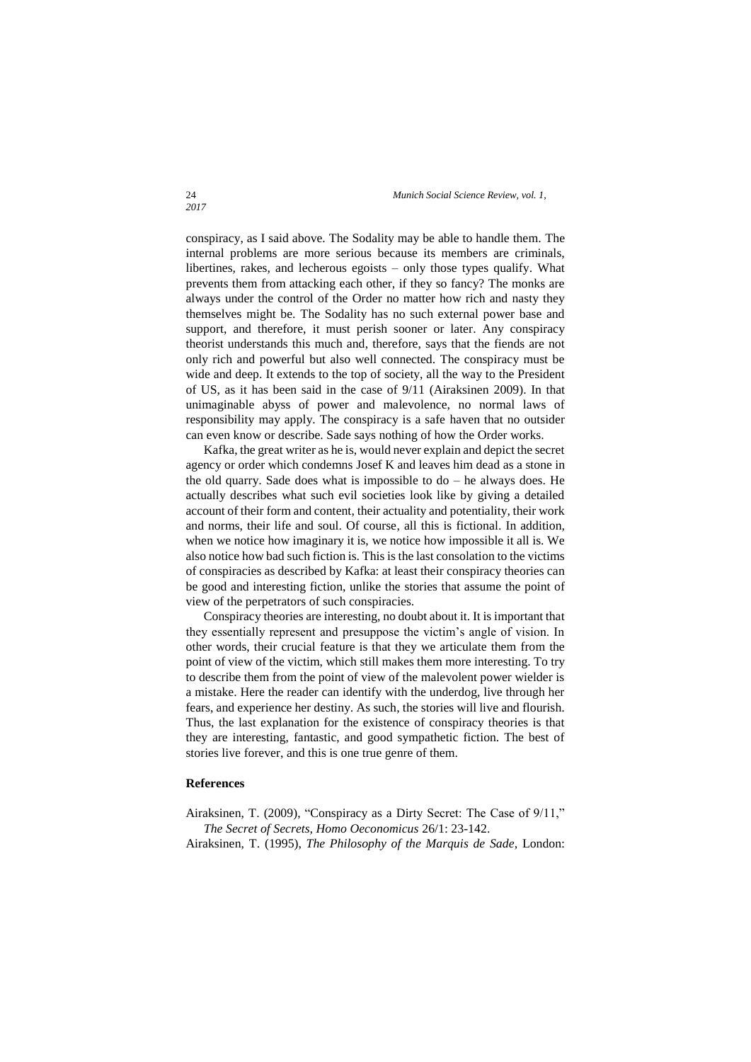conspiracy, as I said above. The Sodality may be able to handle them. The internal problems are more serious because its members are criminals, libertines, rakes, and lecherous egoists – only those types qualify. What prevents them from attacking each other, if they so fancy? The monks are always under the control of the Order no matter how rich and nasty they themselves might be. The Sodality has no such external power base and support, and therefore, it must perish sooner or later. Any conspiracy theorist understands this much and, therefore, says that the fiends are not only rich and powerful but also well connected. The conspiracy must be wide and deep. It extends to the top of society, all the way to the President of US, as it has been said in the case of 9/11 (Airaksinen 2009). In that unimaginable abyss of power and malevolence, no normal laws of responsibility may apply. The conspiracy is a safe haven that no outsider can even know or describe. Sade says nothing of how the Order works.

Kafka, the great writer as he is, would never explain and depict the secret agency or order which condemns Josef K and leaves him dead as a stone in the old quarry. Sade does what is impossible to  $do - he$  always does. He actually describes what such evil societies look like by giving a detailed account of their form and content, their actuality and potentiality, their work and norms, their life and soul. Of course, all this is fictional. In addition, when we notice how imaginary it is, we notice how impossible it all is. We also notice how bad such fiction is. This is the last consolation to the victims of conspiracies as described by Kafka: at least their conspiracy theories can be good and interesting fiction, unlike the stories that assume the point of view of the perpetrators of such conspiracies.

Conspiracy theories are interesting, no doubt about it. It is important that they essentially represent and presuppose the victim's angle of vision. In other words, their crucial feature is that they we articulate them from the point of view of the victim, which still makes them more interesting. To try to describe them from the point of view of the malevolent power wielder is a mistake. Here the reader can identify with the underdog, live through her fears, and experience her destiny. As such, the stories will live and flourish. Thus, the last explanation for the existence of conspiracy theories is that they are interesting, fantastic, and good sympathetic fiction. The best of stories live forever, and this is one true genre of them.

# **References**

Airaksinen, T. (2009), "Conspiracy as a Dirty Secret: The Case of 9/11," *The Secret of Secrets, Homo Oeconomicus* 26/1: 23-142. Airaksinen, T. (1995), *The Philosophy of the Marquis de Sade,* London: